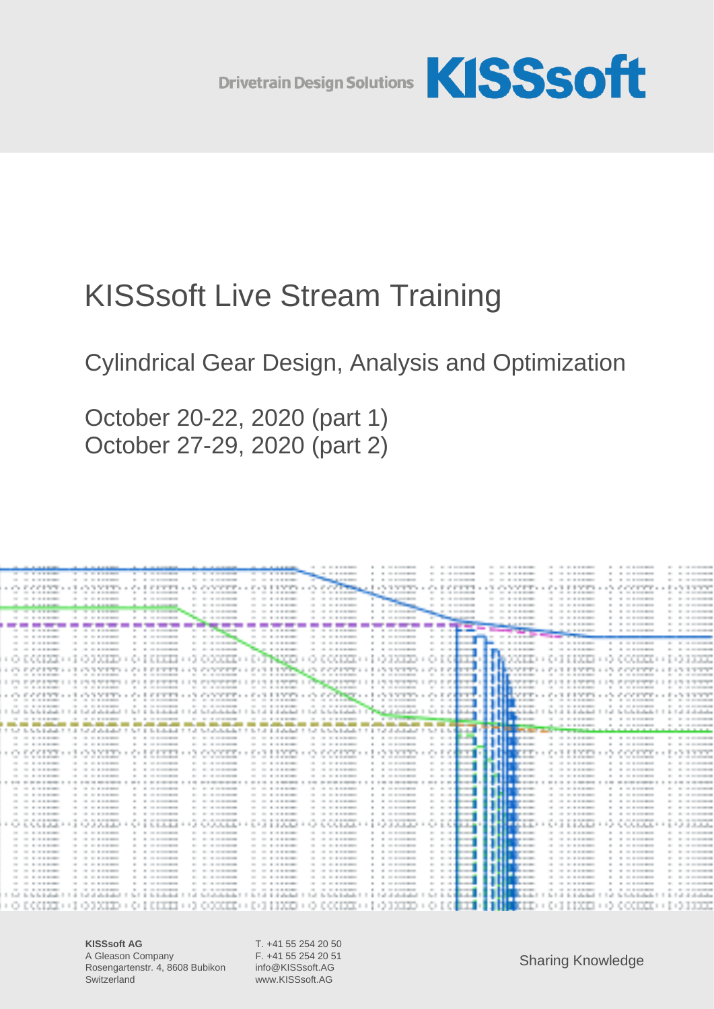

# KISSsoft Live Stream Training

Cylindrical Gear Design, Analysis and Optimization

October 20-22, 2020 (part 1) October 27-29, 2020 (part 2)

|            |      |                                       |                |                                                                                                                |            |                                                     |             |                                                                                     |                        |                          |                                                 |            |                       |                                            |                    |                                                                                                                                                       |                                                   | <b>ALCOHOL: AND RESIDENTS</b>                    |          |            |                                                |                                           |  |                                                 |                            |
|------------|------|---------------------------------------|----------------|----------------------------------------------------------------------------------------------------------------|------------|-----------------------------------------------------|-------------|-------------------------------------------------------------------------------------|------------------------|--------------------------|-------------------------------------------------|------------|-----------------------|--------------------------------------------|--------------------|-------------------------------------------------------------------------------------------------------------------------------------------------------|---------------------------------------------------|--------------------------------------------------|----------|------------|------------------------------------------------|-------------------------------------------|--|-------------------------------------------------|----------------------------|
|            |      | <b>CONTRACTOR</b>                     |                |                                                                                                                |            | <b>A CAR AND CONTRACTOR</b>                         |             |                                                                                     |                        |                          | <b>CONTRACTOR</b>                               |            |                       | <b>CALL OF A REPORTS</b>                   |                    | <b>A CONTRACTOR</b>                                                                                                                                   | <b>SILL</b>                                       | <b>CONTRACTOR</b>                                |          |            |                                                | <b>CALL AND A REPORTED</b>                |  | <b>CONTRACTOR</b>                               |                            |
|            |      | <b>CONTRACTOR</b>                     |                | <b>CONTRACTOR</b>                                                                                              | <b>ALC</b> | <b>CALL OF A CONTRACTOR</b>                         |             | <b>ALC: YES AN ARRANGEMENT</b>                                                      |                        |                          | <b>CONTRACTOR</b>                               |            |                       | <b>Contract Contract Contract Contract</b> |                    | <b>A CONTRACTOR</b>                                                                                                                                   |                                                   | <b>CONTRACTOR</b>                                |          |            | <b>CONTRACTOR</b>                              | THE R. P. LEWIS CO., LANSING MICH.        |  | <b>A CONTRACTOR</b>                             |                            |
|            |      |                                       |                |                                                                                                                |            |                                                     |             |                                                                                     |                        |                          |                                                 |            |                       | <b>CONTINUES</b>                           |                    |                                                                                                                                                       |                                                   |                                                  |          |            |                                                |                                           |  |                                                 | 3.2.2.2                    |
|            |      |                                       |                |                                                                                                                |            | <b>A CALL COMPANY PRODUCT</b>                       |             | THE R. P. LEWIS CO., LANSING, MICH.                                                 |                        |                          |                                                 |            |                       | <b>CONTRACTOR</b>                          |                    | <b>A CONTRACTOR</b>                                                                                                                                   |                                                   | <b>By the company's</b>                          |          |            | <b>COLLEGE AND RESIDENTS</b>                   | <b>COLLEGE AT A STREET</b>                |  | <b>CONTRACTOR</b>                               | <b>By the committee</b>    |
|            |      |                                       | <b>COLL</b>    | THE R. P. LEWIS CO., LANSING MICH.                                                                             |            | <b>ALC: YES AN ARRANGEMENT</b>                      |             | <b>ALCOHOL: A STREET</b>                                                            |                        |                          | <b>CONTRACTOR</b>                               | <b>COL</b> |                       | <b>CONTRACTOR</b>                          |                    | <b>CONTRACTOR</b> CONTRACTOR                                                                                                                          |                                                   | <b>ALCOHOL: AND RESIDENTS</b>                    |          |            | <b>CONTRACTOR</b>                              | <b>CONTRACTOR</b> CONTRACTOR              |  | THE R. P. LEWIS CO., LANSING MICH.              | <b>COLLEGE COMMERCIAL</b>  |
|            |      |                                       |                | <b>COLOR OF CONTRACTOR</b>                                                                                     |            | <b>CONTRACTOR</b>                                   |             | <b>ALC: YES AN ARRANGEMENT</b>                                                      |                        |                          | <b>CONTRACTOR</b> CONTRACTOR                    |            |                       | <b>Service Construction</b>                |                    | <b>Contract Contract Contract Contract Contract</b>                                                                                                   |                                                   | <b>ALCOHOL: AND RESIDENTS</b>                    |          |            | the company's the company's                    | the control of the company's              |  | <b>A CAR AN ARRANGEMENT</b>                     | <b>CONTRACTOR</b>          |
|            |      |                                       |                |                                                                                                                |            | <b>Contract Constitution Contract</b>               |             | <b>ALC: YES AN ARRANGEMENT</b>                                                      |                        |                          | A car an experience                             |            |                       | <b>CONTRACTOR</b>                          |                    | <b>CONTRACTOR</b>                                                                                                                                     |                                                   | ALC: YES ARRESTED                                |          |            | <b>COLLEGE OF STREET</b>                       | <b>CALL AND A REPORTED</b>                |  | <b>CONTRACTOR</b>                               |                            |
|            |      |                                       |                |                                                                                                                |            | <b>A CALL COMMERCIAL</b>                            |             | <b>SALE AND CONTINUES INCOME.</b>                                                   |                        |                          |                                                 |            |                       |                                            |                    | <b>COLLECTION CONTINUES</b>                                                                                                                           |                                                   |                                                  |          |            |                                                | THE R. P. LEWIS CO., LANSING MICH.        |  | The course of the country of the                | <b>STATE OF GROOM</b>      |
|            |      |                                       |                |                                                                                                                |            |                                                     |             | -----                                                                               |                        |                          |                                                 |            |                       |                                            |                    |                                                                                                                                                       |                                                   |                                                  |          |            | <b>CONTRACTOR</b>                              |                                           |  |                                                 |                            |
|            |      |                                       |                |                                                                                                                |            |                                                     |             | and the company services.                                                           |                        |                          |                                                 |            |                       |                                            |                    |                                                                                                                                                       |                                                   | <b>Contract of the contract</b>                  |          |            | <b>The Company of Company</b>                  | <b>COLLEGE AT A STREET</b>                |  | <b>A CALL OF BUILDING</b>                       | <b>CONTRACTOR</b>          |
|            |      | <b>ALCOHOL: AND INCOME.</b>           |                | <b>CONTRACTOR</b>                                                                                              |            | <b>A CA REPORTED</b>                                |             | <b>All the committee</b>                                                            |                        |                          |                                                 |            |                       |                                            |                    | <b>A CONSTRUCTION</b>                                                                                                                                 |                                                   | <b>Control of Controls</b>                       |          |            |                                                |                                           |  |                                                 |                            |
|            |      | <b>CONTRACTOR</b> CONTRACTOR          | <b>THE ST</b>  | <b>CALL OF A STATEMENT</b>                                                                                     |            | <b>A CALCULATION</b>                                |             |                                                                                     |                        |                          | and the commentary that the comment of the com- |            |                       | <b>CALL OF A REPORTS</b>                   |                    | <b>A CONSTRUCTION</b>                                                                                                                                 | <b>CONTRACTOR</b><br><b>COLLECT</b>               | <b>Continued by Color</b>                        |          |            |                                                | <b>CALL CALL OF ALL CALLS:</b>            |  | <b>CONTRACTOR</b>                               | <b>By Carl Co. Seconds</b> |
|            |      |                                       |                |                                                                                                                |            | <b>B. OR BUSINESS</b>                               |             | <b>CONTRACTOR</b>                                                                   |                        |                          |                                                 |            |                       |                                            |                    | <b>COLLECTION CONTINUES</b>                                                                                                                           | <b>ALC: YES</b>                                   | <b>Contractor</b>                                |          |            | <b>CONTRACTOR</b>                              |                                           |  |                                                 |                            |
|            |      | <b>CONTRACTOR</b>                     |                | THE R. P. LEWIS CO., LANSING MICH.                                                                             |            | <b>COLLECTION CONTINUES</b>                         |             | <b>CONTRACTOR</b>                                                                   |                        |                          | <b>The Contract</b>                             |            |                       | <b>CONTRACTOR</b>                          |                    | <b>CALL OF A REPORTED</b>                                                                                                                             | <b>COLLEGE</b>                                    | <b>Contract Contract</b>                         |          |            | A 10 YEAR OLD FEMALE                           | <b>CALL AND A REPORTED</b>                |  | <b>THE R. P. LEWIS CO., LANSING, MICH.</b>      |                            |
|            |      |                                       |                |                                                                                                                |            |                                                     |             |                                                                                     |                        |                          | Matatalan ing Kabupatèn Kabupatèn Kabupatèn     |            |                       |                                            |                    |                                                                                                                                                       | とうこう 大量 あま                                        |                                                  |          |            | <b>The Contractor</b>                          |                                           |  |                                                 |                            |
|            |      |                                       |                | <b>STATISTICS</b> IN THE RESIDENCE OF A REPORT OF                                                              |            | <b>A R R PRIMER</b>                                 |             |                                                                                     |                        |                          | じょう ような (の) しょうしゅ にっぽ                           |            |                       |                                            |                    |                                                                                                                                                       |                                                   | on a company                                     |          |            | <b>RESERVATION CONTINUES</b>                   |                                           |  |                                                 |                            |
|            |      | <b>CONTRACTOR</b>                     |                | <b>CONTRACTOR</b>                                                                                              | <b>ALC</b> | <b>CONTRACTOR</b>                                   | <b>SILL</b> | <b>CONTRACTOR</b>                                                                   |                        |                          | <b>CONTRACTOR</b>                               |            |                       | The company's company's company's          |                    | <b>CALL OF A STATE ROOM</b>                                                                                                                           | <b>COLL</b>                                       | the country of the country of                    |          |            | <b>BELLEVILLE AND STRUCKS</b>                  |                                           |  |                                                 | <b>By the company's</b>    |
|            |      |                                       |                |                                                                                                                |            |                                                     |             |                                                                                     |                        |                          |                                                 |            |                       |                                            |                    | i i na mponinsa i na nananana i pia mponinsa i na postenena i mia na amerika postene i i na natama i pia makamf                                       |                                                   |                                                  |          |            |                                                |                                           |  |                                                 |                            |
|            |      |                                       |                | <b>CALL OF A STATEMENT</b>                                                                                     |            | <b>CONTRACTOR</b>                                   |             | <b>CONTRACTOR</b>                                                                   |                        |                          | <b>CONTRACTOR</b>                               |            |                       | <b>CONTRACTOR</b>                          |                    |                                                                                                                                                       | <b>COLL</b><br>2012/01/23                         | <b>Designation</b>                               |          |            | <b>STATISTICS</b>                              |                                           |  |                                                 |                            |
| i a stra d |      |                                       |                | アイ・ストップ こうかいてん インタート のうすうちょう ストラインスクログ イン・アイス ようりつかい                                                           |            |                                                     |             |                                                                                     |                        |                          |                                                 |            |                       | くろう そうど おおてくる しょうきつす                       |                    |                                                                                                                                                       |                                                   | 化分子 经市场支付费率                                      |          |            |                                                |                                           |  |                                                 |                            |
|            |      |                                       |                |                                                                                                                |            | <b>All the contract of the contract of the con-</b> |             | the company's company and the company's                                             |                        |                          |                                                 |            | <b>CALL ON A SHOP</b> |                                            |                    |                                                                                                                                                       | 100,000,00                                        | <b>Contract Contract</b>                         |          |            | <b>Britain Market</b>                          |                                           |  |                                                 |                            |
|            |      | <b>CONTRACTOR</b>                     |                | The control of the company's                                                                                   |            | <b>ALCOHOL: AN INCOMERCIAL</b>                      |             | <b>All the committee of the committee</b>                                           |                        |                          | <b>Contract Contract Contract</b>               |            |                       | <b>ALCOHOL: NO</b>                         |                    |                                                                                                                                                       | <b>BUILDER</b>                                    |                                                  |          |            |                                                |                                           |  |                                                 |                            |
|            | .    |                                       |                | belo kalendar dan dan dianggal dan berjada dan berjada dari dan berjada dan berjada dan berjada dan berjada da |            |                                                     |             |                                                                                     |                        |                          |                                                 |            |                       |                                            |                    | to be to trained at 1799 and all states of the basic in the figures and the figure                                                                    |                                                   |                                                  |          |            |                                                | <b>Republican Control of Automobile</b>   |  | the first that the first policy is a first that |                            |
|            |      |                                       | <b>COLL</b>    | The contract of the property of                                                                                |            | <b>ALCOHOL: AN INCHES</b>                           |             | <b>ALC: YES AN ARRANGEMENT</b>                                                      |                        |                          | <b>CONTRACTOR</b>                               | $\sim$     |                       | <b>CALL AND A SERVICES</b>                 | <b>ALCOHOL: NO</b> |                                                                                                                                                       |                                                   |                                                  |          |            | de la comp                                     |                                           |  |                                                 |                            |
|            |      |                                       |                |                                                                                                                |            |                                                     |             |                                                                                     |                        | <b>Contract Contract</b> |                                                 |            |                       |                                            |                    |                                                                                                                                                       | . .                                               |                                                  | الألازيج |            |                                                |                                           |  |                                                 |                            |
| 10 Mill 1  |      |                                       |                |                                                                                                                |            | <b>A. D. Marketta</b>                               |             |                                                                                     |                        |                          | i i biri da kalamatan                           |            |                       |                                            |                    |                                                                                                                                                       | 53 B 54                                           |                                                  |          |            | <b>The Company of Company</b>                  |                                           |  |                                                 |                            |
|            |      |                                       |                | <b>CONTRACTOR</b>                                                                                              |            | <b>A CA REPORTED</b>                                |             | <b>ALC: YES AN ARRANGEMENT</b>                                                      |                        |                          | <b>CONTRACTOR</b> CONTRACTOR                    |            |                       | <b>CONTRACTOR</b>                          |                    | <b>A CONTRACTOR</b>                                                                                                                                   | <b>BUILDER</b>                                    |                                                  |          |            | <u>іц., </u>                                   | <b>COLLEGE AND INCOME.</b>                |  | <b>A CAR AND REPORTED</b>                       | <b>ALCOHOL: NUMBER</b>     |
|            |      |                                       |                |                                                                                                                |            | <b>A CONSTRUCTION</b>                               |             | <b>ALCOHOL: AND RESIDENTS</b>                                                       |                        |                          |                                                 |            |                       |                                            |                    |                                                                                                                                                       | 2012/03/15                                        |                                                  |          |            |                                                |                                           |  | <b>CONTRACTOR</b>                               |                            |
|            | エインド |                                       |                |                                                                                                                |            | video e provincia                                   |             |                                                                                     |                        |                          | 医大脑 计自动控制                                       |            |                       |                                            |                    |                                                                                                                                                       | ベッド のう                                            |                                                  |          |            |                                                |                                           |  |                                                 |                            |
|            |      |                                       |                |                                                                                                                |            | <b>B. The Monthly Month</b>                         |             | The Corp. In the America                                                            |                        |                          |                                                 |            |                       |                                            |                    | <b>All conditions</b>                                                                                                                                 | <b>BULLER</b>                                     |                                                  |          | m          |                                                |                                           |  |                                                 |                            |
|            |      | <b>CONTRACTOR</b>                     | <b>THE</b>     | <b>CALL OF A STATEMENT</b>                                                                                     | <b>ALC</b> | <b>CONTRACTOR</b>                                   |             | <b>All the committee of the committee</b>                                           |                        |                          | <b>CONTRACTOR</b>                               | <b>THE</b> |                       | <b>CONTRACTOR</b>                          |                    | <b>A CA SHOW BOYS</b>                                                                                                                                 | 101110-01<br><b>ALC</b>                           | <b>STATISTICS</b>                                |          |            | <b>CONTRACTOR</b>                              |                                           |  | <b>CALL OF A STATE ROOM</b>                     | <b>CALL CONTRACTOR</b>     |
|            |      | <b>CONTRACTOR</b> CONTRACTOR          |                | <b>CONTRACTOR</b>                                                                                              |            | <b>ALCOHOL: AND ARRESTS AND IN</b>                  |             | <b>ALCOHOL: AND ARRESTS AND ADDRESS.</b>                                            |                        |                          | <b>CONTRACTOR</b>                               |            |                       | <b>CONTRACTOR</b>                          |                    | <b>A R R REPORT FOR A R</b>                                                                                                                           | 100,000<br><b>COLL</b>                            | <b>Services</b>                                  |          |            | <b>Contract Contract</b>                       | <b>CONTRACTOR</b>                         |  | <b>Contract Contract Contract Contract</b>      | <b>CONTRACTOR</b>          |
|            |      | <b>CONTRACTOR</b>                     | <b>THE ST</b>  | <b>CONTRACTOR</b>                                                                                              |            | <b>CONTRACTOR</b>                                   |             | <b>All the contract of the contract of the contract of the contract of the con-</b> |                        |                          | <b>CONTRACTOR</b>                               |            |                       | <b>CONTRACTOR</b>                          |                    | <b>A CONTRACTOR</b>                                                                                                                                   | <b>COLLECT</b>                                    | <b>Controller Controller</b>                     |          |            | Æ.                                             |                                           |  | <b>A CONTRACTOR</b>                             | <b>CONTRACTOR</b>          |
|            | .    |                                       |                | and the control products in a                                                                                  |            | <b>CONTRACTOR</b> COMPANY                           |             | <b>CONTRACTOR CONTRACTOR</b>                                                        |                        |                          |                                                 |            |                       |                                            |                    |                                                                                                                                                       | <b>CONTRACTOR</b>                                 | <b>Service College</b>                           |          | <b>THE</b> |                                                |                                           |  |                                                 | <b>CONTRACTOR</b>          |
|            |      |                                       |                | THE R. P. LEWIS CO., LANSING MICH.                                                                             |            | The contract of the contract of                     |             | The contract of the contract of                                                     |                        |                          | The contract of the company                     |            |                       | THE R. P. LEWIS CO., LANSING MICH.         |                    | <b>A CALCULATION</b>                                                                                                                                  | <b>ALCOHOL: NO</b>                                |                                                  |          |            | <b>CONTRACTOR</b>                              |                                           |  |                                                 | <b>CONTRACTOR</b>          |
|            |      | <b>CONTRACTOR</b>                     |                | the the two controls are the con-                                                                              |            | <b>CALL OR DESIGNATION</b>                          |             | <b>ALC: YES AN ARRANGEMENT</b>                                                      |                        |                          |                                                 |            |                       | <b>CONTRACTOR CONTRACTOR</b>               |                    | <b>All the committee of the committee</b>                                                                                                             | the company of the company                        |                                                  |          |            | <b>Common</b>                                  |                                           |  | <b>CALL THE REPORT FOR A</b>                    | <b>CONTRACTOR</b>          |
|            |      | <b>CONTRACTOR</b>                     |                | THE R. P. LEWIS CO., LANSING MICH.                                                                             |            | <b>A CA REPORTED</b>                                |             | THE R. P. LEWIS CO., LANSING MICH.                                                  |                        |                          | <b>CONTRACTOR</b>                               |            |                       | <b>CALL OF A STREET</b>                    |                    | <b>A CONSTRUCTION</b>                                                                                                                                 | <b>ALCOHOL: NO</b>                                |                                                  |          |            | <b>CONTRACTOR</b>                              |                                           |  | <b>A CONTRACTOR</b>                             | <b>CONTRACTOR</b>          |
|            |      | <b>CONTRACTOR</b>                     |                | THE R. P. LEWIS CO., LANSING MICH.                                                                             |            | <b>CALL THE REPORT FOR THE</b>                      |             | <b>All the control of the control of the con-</b>                                   |                        |                          |                                                 |            |                       | THE R. P. LEWIS CO., LANSING MICH.         |                    | <b>A CALL COMMERCIAL</b>                                                                                                                              | <b>CONTRACTOR</b><br><b>STORY OF</b>              |                                                  |          | IП         | <b>CONTRACTOR</b>                              |                                           |  | The contract of the contract of the             | <b>CONTRACTOR</b>          |
|            |      | <b>CONTRACTOR</b> COMPANY AND INCOME. |                | <b>COLOR CONTRACTOR</b>                                                                                        |            | <b>A CALCULATION</b>                                |             | <b>CONTRACTOR</b>                                                                   |                        |                          | <b>CONTRACTOR</b>                               |            |                       | <b>CALL OF A REPORTS</b>                   |                    | <b>A CONTRACTOR</b>                                                                                                                                   | 101110-01<br><b>ALC</b>                           | <b>STATISTICS</b>                                |          |            | <b>COMMERCIAL</b>                              |                                           |  | <b>CONTRACTOR</b>                               | <b>CONTRACTOR</b>          |
|            |      | All the country of the country of     |                | <b>CONTRACTOR</b>                                                                                              |            | ALC: YES AN ARRANGEMENT                             |             | ALC: UNK ARRESTS MADE                                                               |                        |                          | <b>CONTRACTOR</b>                               |            |                       | <b>CONTRACTOR</b>                          |                    | <b>ALCOHOL: NO ASSISTENTIAL</b>                                                                                                                       | 2012/01/18                                        | <b>Services</b>                                  |          |            | <b>Contract Contract</b>                       |                                           |  | <b>Contract Contract Contract</b>               | <b>CALL OF SHORTLAND</b>   |
|            |      |                                       |                |                                                                                                                |            | <b>A. S. R. A. L. A.</b>                            |             | all the first substantial                                                           |                        |                          | 计多级 医小脑动脉炎                                      |            |                       |                                            |                    | 计多边 医水杨酸                                                                                                                                              | 化乙基丙基                                             |                                                  |          |            |                                                | <b>CONTACT AND A REPORT</b>               |  | たんしんかん                                          |                            |
|            |      | <b>CONTRACTOR</b> CONTRACTOR          | <b>THE R</b>   | THE R. P. LEWIS CO., LANSING MICH.                                                                             | m.         | The contract of the contract of                     |             | <b>ALCOHOL: AN INCHES</b>                                                           |                        |                          | <b>CONTRACTOR</b> CONTRACTOR                    | <b>COL</b> |                       | <b>CONTRACTOR</b>                          | m.                 | <b>CALL OF A REPORTED</b>                                                                                                                             | <b>ALC: NUMBER</b>                                |                                                  |          |            | <b>CONTRACTOR</b>                              | <b>CALL AND RESIDENTS</b>                 |  | THE R. P. LEWIS CO., LANSING MICH.              | <b>CONTRACTOR</b>          |
|            |      | <b>CONTRACTOR</b>                     | <b>COLLECT</b> | <b>CONTRACTOR</b>                                                                                              |            | <b>A CAR MARKETING</b>                              |             | <b>ALC: AN ART AN ART AND ART</b>                                                   |                        |                          | <b>CONTRACTOR</b>                               |            |                       | <b>CONTRACTOR</b>                          |                    | <b>CONTRACTOR</b>                                                                                                                                     | <b>SILL</b><br>100,000                            | <b>STATISTICS</b>                                |          |            | $\mathbf{q}_{\mathrm{new}}$                    |                                           |  | <b>CONTRACTOR</b>                               | <b>ALCOHOL:</b>            |
|            |      | <b>CONTRACTOR</b> CONTRACTOR          | <b>THE ST</b>  | <b>THE R. P. LEWIS CO., LANSING MICH.</b>                                                                      |            | <b>CALL OF A CONTRACTOR</b>                         |             | <b>All the control of the control of the con-</b>                                   |                        |                          | <b>CONTRACTOR</b>                               |            |                       | <b>THE R. P. LEWIS CO., LANSING MICH.</b>  |                    | <b>A CONSTRUCTION</b>                                                                                                                                 | 100,000<br><b>COLLECT</b>                         |                                                  |          |            | <b>COMMERCIAL</b>                              | <b>CALL AND REPORTED</b>                  |  | <b>CALL OF BUILDING</b>                         | <b>CONTRACTOR</b>          |
|            |      | <b>A DO BARBARA</b>                   |                | <b>CONTRACTOR</b>                                                                                              |            | <b>CALL OF BUILDING</b>                             |             | <b>ALC: AN ART AN ART AND ART</b>                                                   |                        |                          | <b>CONTRACTOR</b>                               |            |                       | <b>THE R. P. LEWIS CO., LANSING MICH.</b>  |                    | <b>A CALL AND REPORT</b>                                                                                                                              |                                                   | and the contribution of                          |          |            | <b>CONTRACTOR</b>                              | THE R. P. LEWIS CO., LANSING MICH.        |  | <b>CONTRACTOR</b>                               | <b>CONTRACTOR</b>          |
|            |      | <b>CONTRACTOR</b>                     |                | <b>CONTRACTOR</b>                                                                                              | 10.11      | <b>CALL OR DESIGNATION</b>                          |             | <b>All the committee of the committee</b>                                           |                        |                          |                                                 | <b>THE</b> |                       | <b>THE R. P. LEWIS CO., LANSING MICH.</b>  |                    | <b>A CONSTRUCTION</b>                                                                                                                                 | <b>BULLER IN 1979</b>                             | <b>CONTRACTOR</b>                                |          |            | <b>COMMERCIAL</b><br>$\mathbf{a}_{\cdots}$     | <b>CONTRACTOR</b>                         |  | <b>CALL OF BUILDING</b>                         | <b>CONTRACTOR</b>          |
|            |      | <b>CONTRACTOR</b>                     |                | <b>CONTRACTOR</b>                                                                                              |            | ALC: YES AN ARRANGEMENT                             |             | <b>All the committee of the committee</b>                                           |                        |                          | <b>CONTRACTOR</b>                               |            |                       | <b>CONTRACTOR</b>                          |                    | <b>A CONSTRUCTION</b>                                                                                                                                 |                                                   | <b>All the Control of Control of the Control</b> |          |            |                                                | <b>CONTRACTOR</b>                         |  | <b>CALL OF A STATE ROOM</b>                     | <b>CONTRACTOR</b>          |
|            |      |                                       |                | <b>CONTRACTOR</b>                                                                                              |            | <b>CALL OF BUILDING</b>                             |             | <b>All the contract of the contract of the contract of the contract of the con-</b> |                        |                          |                                                 |            |                       | <b>CALL OF A REPORTS</b>                   |                    | <b>CONTRACTOR</b>                                                                                                                                     | <b>ALC: NUMBER</b>                                | <b>BELLEVILLE</b>                                |          |            | <b>Contract Contract</b>                       | <b>THE R. P. LEWIS CO., LANSING MICH.</b> |  | <b>CONTRACTOR</b>                               | <b>CONTRACTOR</b>          |
|            |      |                                       |                | <b>CALL OF A STATEMENT</b>                                                                                     |            | All the committees of                               |             | <b>CONTRACTOR</b>                                                                   |                        |                          |                                                 |            |                       |                                            |                    | <b>CONTRACTOR</b>                                                                                                                                     | <b>COLLEGE</b>                                    |                                                  |          |            |                                                |                                           |  |                                                 |                            |
|            |      |                                       |                |                                                                                                                |            | <b>A CALCULATION</b>                                |             | <b>State of the components</b>                                                      |                        |                          |                                                 |            |                       |                                            |                    |                                                                                                                                                       | <b>COLLEGE</b>                                    |                                                  |          |            | <b>Contract Contract</b><br>$\mathbf{q}_{i+1}$ |                                           |  |                                                 |                            |
|            |      |                                       |                | THE R. P. LEWIS CO., LANSING MICH.                                                                             |            | <b>ALC: A CALIFORNIA CONTROL</b>                    |             | <b>All the contract of the contract of the con-</b>                                 |                        |                          |                                                 |            |                       | THE R. P. LEWIS CO., LANSING MICH.         |                    | <b>Contract Committee Committee</b><br>i that bho bhail tha ta an ann an thath bhaile tha han bhaile i tha ta ta ann an t-ainm an an t-ainm an t-ainm | <b>COLLECTION</b><br>100,000<br><b>Sell A. B.</b> |                                                  |          |            |                                                |                                           |  | the first state from the                        | المستقبل المراكب           |
|            |      |                                       |                |                                                                                                                |            |                                                     |             |                                                                                     |                        |                          |                                                 |            |                       |                                            |                    |                                                                                                                                                       |                                                   |                                                  |          |            |                                                |                                           |  |                                                 |                            |
|            |      |                                       |                |                                                                                                                |            |                                                     |             |                                                                                     | <u>LLE COOLEELLELE</u> |                          |                                                 |            |                       |                                            |                    |                                                                                                                                                       |                                                   |                                                  |          |            |                                                |                                           |  |                                                 |                            |
|            |      |                                       |                |                                                                                                                |            |                                                     |             |                                                                                     |                        |                          |                                                 |            |                       |                                            |                    |                                                                                                                                                       |                                                   |                                                  |          |            |                                                |                                           |  |                                                 |                            |

**KISSsoft AG** T. +41 55 254 20 50<br>A Gleason Company F. +41 55 254 20 51 Rosengartenstr. 4, 8608 Bubikon Switzerland www.KISSsoft.AG

F. +41 55 254 20 51<br>info@KISSsoft.AG

Sharing Knowledge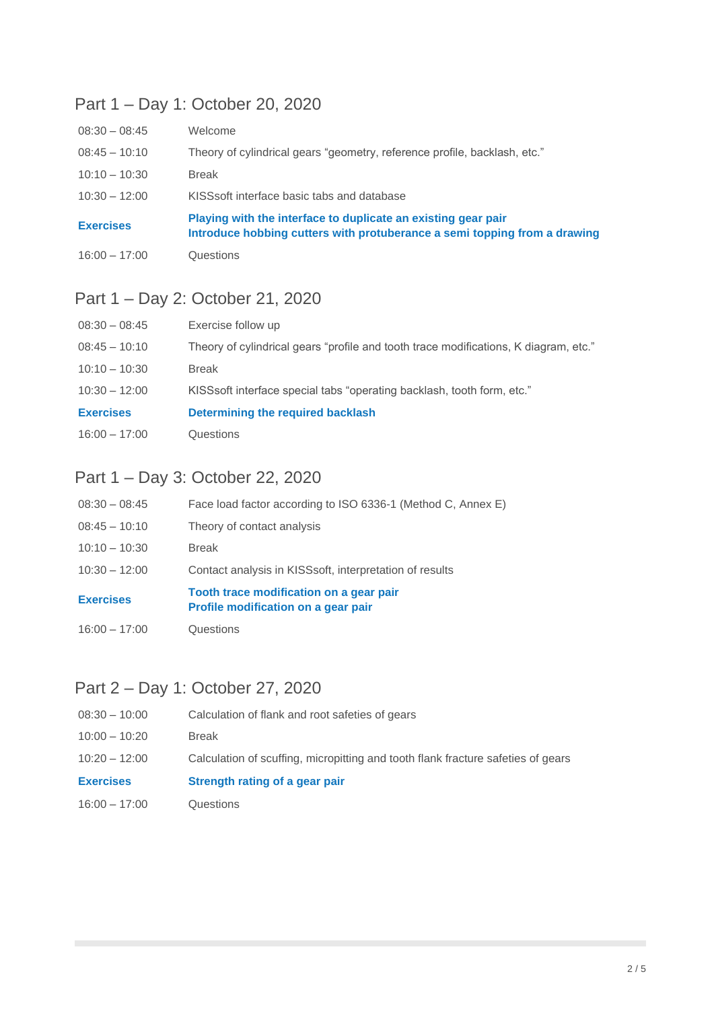# Part 1 – Day 1: October 20, 2020

| $08:30 - 08:45$  | Welcome                                                                                                                                    |
|------------------|--------------------------------------------------------------------------------------------------------------------------------------------|
| $08:45 - 10:10$  | Theory of cylindrical gears "geometry, reference profile, backlash, etc."                                                                  |
| $10:10 - 10:30$  | <b>Break</b>                                                                                                                               |
| $10:30 - 12:00$  | KISSsoft interface basic tabs and database                                                                                                 |
| <b>Exercises</b> | Playing with the interface to duplicate an existing gear pair<br>Introduce hobbing cutters with protuberance a semi topping from a drawing |
| $16:00 - 17:00$  | Questions                                                                                                                                  |

# Part 1 – Day 2: October 21, 2020

| $08:30 - 08:45$  | Exercise follow up                                                                   |
|------------------|--------------------------------------------------------------------------------------|
| $08:45 - 10:10$  | Theory of cylindrical gears "profile and tooth trace modifications, K diagram, etc." |
| $10:10 - 10:30$  | <b>Break</b>                                                                         |
| $10:30 - 12:00$  | KISSsoft interface special tabs "operating backlash, tooth form, etc."               |
| <b>Exercises</b> | Determining the required backlash                                                    |
| $16:00 - 17:00$  | Questions                                                                            |

# Part 1 – Day 3: October 22, 2020

| $08:30 - 08:45$  | Face load factor according to ISO 6336-1 (Method C, Annex E)                   |
|------------------|--------------------------------------------------------------------------------|
| $08:45 - 10:10$  | Theory of contact analysis                                                     |
| $10:10 - 10:30$  | <b>Break</b>                                                                   |
| $10:30 - 12:00$  | Contact analysis in KISSsoft, interpretation of results                        |
| <b>Exercises</b> | Tooth trace modification on a gear pair<br>Profile modification on a gear pair |
| $16:00 - 17:00$  | Questions                                                                      |

# Part 2 – Day 1: October 27, 2020

| $16:00 - 17:00$  | Questions                                                                        |
|------------------|----------------------------------------------------------------------------------|
| <b>Exercises</b> | Strength rating of a gear pair                                                   |
| $10:20 - 12:00$  | Calculation of scuffing, micropitting and tooth flank fracture safeties of gears |
| $10:00 - 10:20$  | <b>Break</b>                                                                     |
| $08:30 - 10:00$  | Calculation of flank and root safeties of gears                                  |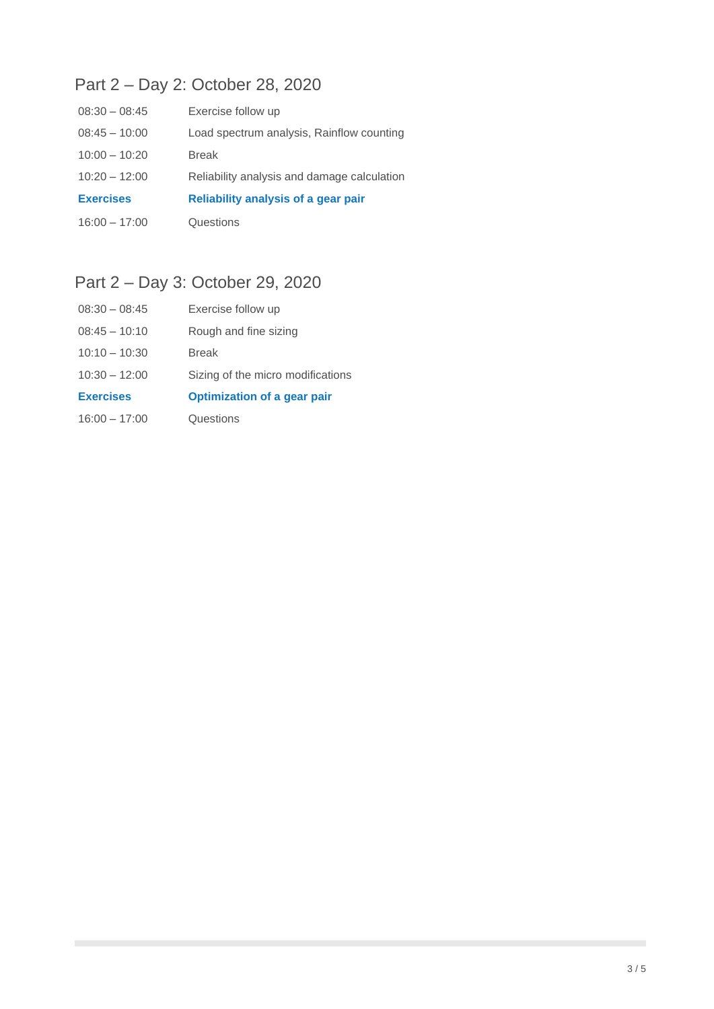# Part 2 – Day 2: October 28, 2020

| $08:30 - 08:45$  | Exercise follow up                          |
|------------------|---------------------------------------------|
| $08:45 - 10:00$  | Load spectrum analysis, Rainflow counting   |
| $10:00 - 10:20$  | <b>Break</b>                                |
| $10:20 - 12:00$  | Reliability analysis and damage calculation |
| <b>Exercises</b> | <b>Reliability analysis of a gear pair</b>  |
| $16:00 - 17:00$  | Questions                                   |

# Part 2 – Day 3: October 29, 2020

| $08:30 - 08:45$  | Exercise follow up                |
|------------------|-----------------------------------|
| $08:45 - 10:10$  | Rough and fine sizing             |
| $10:10 - 10:30$  | <b>Break</b>                      |
| $10:30 - 12:00$  | Sizing of the micro modifications |
| <b>Exercises</b> | Optimization of a gear pair       |
| $16:00 - 17:00$  | Questions                         |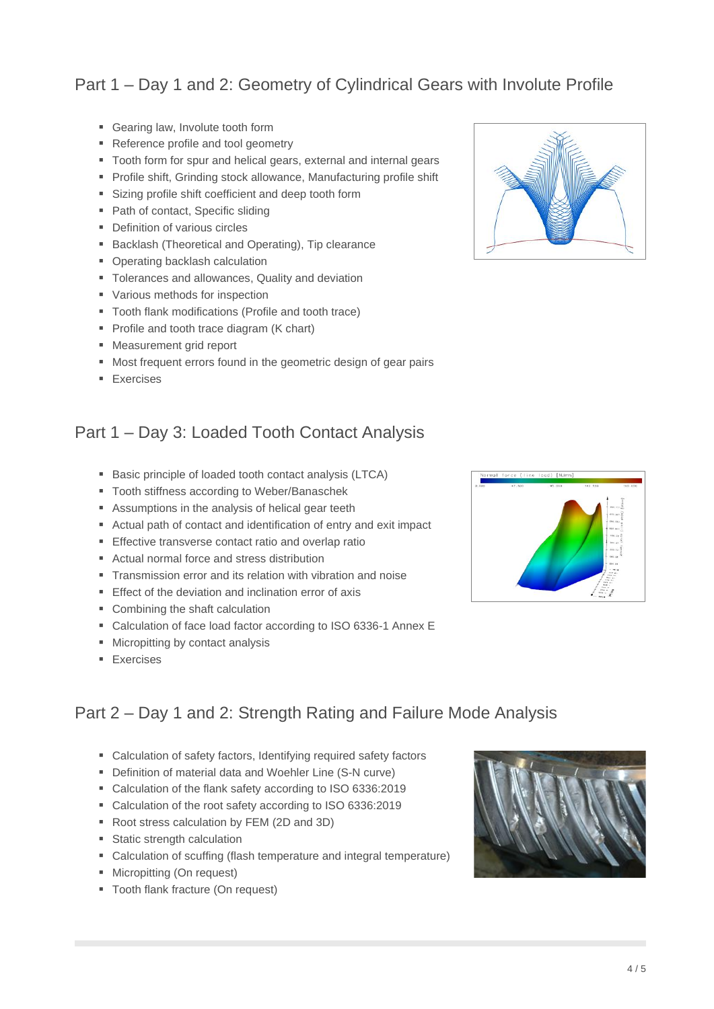### Part 1 – Day 1 and 2: Geometry of Cylindrical Gears with Involute Profile

- Gearing law, Involute tooth form
- Reference profile and tool geometry
- Tooth form for spur and helical gears, external and internal gears
- Profile shift, Grinding stock allowance, Manufacturing profile shift
- Sizing profile shift coefficient and deep tooth form
- Path of contact, Specific sliding
- **•** Definition of various circles
- Backlash (Theoretical and Operating), Tip clearance
- Operating backlash calculation
- Tolerances and allowances, Quality and deviation
- Various methods for inspection
- Tooth flank modifications (Profile and tooth trace)
- **•** Profile and tooth trace diagram (K chart)
- Measurement grid report
- Most frequent errors found in the geometric design of gear pairs
- **Exercises**

#### Part 1 – Day 3: Loaded Tooth Contact Analysis

- Basic principle of loaded tooth contact analysis (LTCA)
- Tooth stiffness according to Weber/Banaschek
- Assumptions in the analysis of helical gear teeth
- Actual path of contact and identification of entry and exit impact
- **Effective transverse contact ratio and overlap ratio**
- Actual normal force and stress distribution
- **Transmission error and its relation with vibration and noise**
- Effect of the deviation and inclination error of axis
- Combining the shaft calculation
- Calculation of face load factor according to ISO 6336-1 Annex E
- Micropitting by contact analysis
- **Exercises**

#### Part 2 – Day 1 and 2: Strength Rating and Failure Mode Analysis

- Calculation of safety factors, Identifying required safety factors
- Definition of material data and Woehler Line (S-N curve)
- Calculation of the flank safety according to ISO 6336:2019
- Calculation of the root safety according to ISO 6336:2019
- Root stress calculation by FEM (2D and 3D)
- Static strength calculation
- Calculation of scuffing (flash temperature and integral temperature)
- Micropitting (On request)
- Tooth flank fracture (On request)